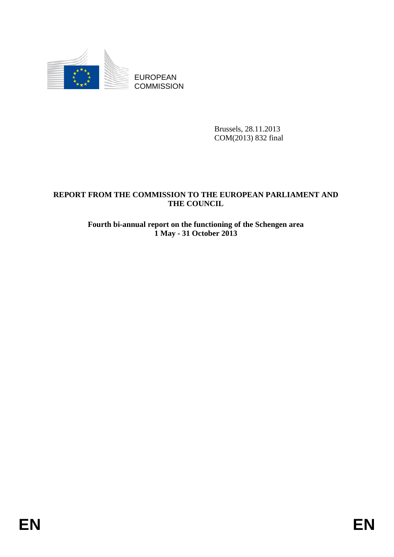

EUROPEAN **COMMISSION** 

> Brussels, 28.11.2013 COM(2013) 832 final

# **REPORT FROM THE COMMISSION TO THE EUROPEAN PARLIAMENT AND THE COUNCIL**

## **Fourth bi-annual report on the functioning of the Schengen area 1 May - 31 October 2013**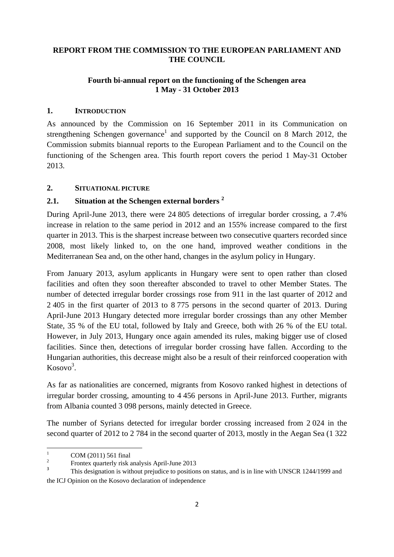### **REPORT FROM THE COMMISSION TO THE EUROPEAN PARLIAMENT AND THE COUNCIL**

### **Fourth bi-annual report on the functioning of the Schengen area 1 May - 31 October 2013**

### **1. INTRODUCTION**

As announced by the Commission on 16 September 2011 in its Communication on strengthening Schengen governance<sup>1</sup> and supported by the Council on 8 March 2012, the Commission submits biannual reports to the European Parliament and to the Council on the functioning of the Schengen area. This fourth report covers the period 1 May-31 October 2013.

#### **2. SITUATIONAL PICTURE**

## **2.1. Situation at the Schengen external borders 2**

During April-June 2013, there were 24 805 detections of irregular border crossing, a 7.4% increase in relation to the same period in 2012 and an 155% increase compared to the first quarter in 2013. This is the sharpest increase between two consecutive quarters recorded since 2008, most likely linked to, on the one hand, improved weather conditions in the Mediterranean Sea and, on the other hand, changes in the asylum policy in Hungary.

From January 2013, asylum applicants in Hungary were sent to open rather than closed facilities and often they soon thereafter absconded to travel to other Member States. The number of detected irregular border crossings rose from 911 in the last quarter of 2012 and 2 405 in the first quarter of 2013 to 8 775 persons in the second quarter of 2013. During April-June 2013 Hungary detected more irregular border crossings than any other Member State, 35 % of the EU total, followed by Italy and Greece, both with 26 % of the EU total. However, in July 2013, Hungary once again amended its rules, making bigger use of closed facilities. Since then, detections of irregular border crossing have fallen. According to the Hungarian authorities, this decrease might also be a result of their reinforced cooperation with Kosovo<sup>3</sup>.

As far as nationalities are concerned, migrants from Kosovo ranked highest in detections of irregular border crossing, amounting to 4 456 persons in April-June 2013. Further, migrants from Albania counted 3 098 persons, mainly detected in Greece.

The number of Syrians detected for irregular border crossing increased from 2 024 in the second quarter of 2012 to 2 784 in the second quarter of 2013, mostly in the Aegan Sea (1 322

 $\frac{1}{1}$ COM (2011) 561 final

<sup>2</sup> Frontex quarterly risk analysis April-June 2013

<sup>3</sup> This designation is without prejudice to positions on status, and is in line with UNSCR 1244/1999 and the ICJ Opinion on the Kosovo declaration of independence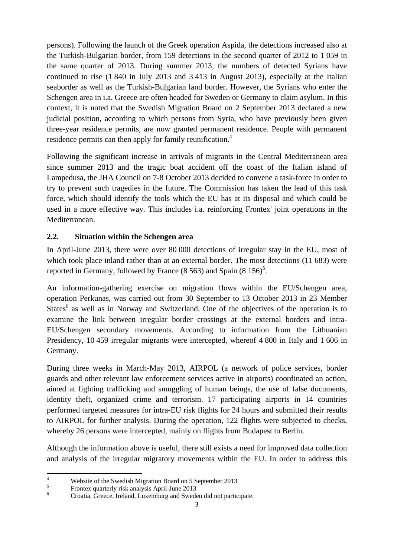persons). Following the launch of the Greek operation Aspida, the detections increased also at the Turkish-Bulgarian border, from 159 detections in the second quarter of 2012 to 1 059 in the same quarter of 2013. During summer 2013, the numbers of detected Syrians have continued to rise (1 840 in July 2013 and 3 413 in August 2013), especially at the Italian seaborder as well as the Turkish-Bulgarian land border. However, the Syrians who enter the Schengen area in i.a. Greece are often headed for Sweden or Germany to claim asylum. In this context, it is noted that the Swedish Migration Board on 2 September 2013 declared a new judicial position, according to which persons from Syria, who have previously been given three-year residence permits, are now granted permanent residence. People with permanent residence permits can then apply for family reunification.<sup>4</sup>

Following the significant increase in arrivals of migrants in the Central Mediterranean area since summer 2013 and the tragic boat accident off the coast of the Italian island of Lampedusa, the JHA Council on 7-8 October 2013 decided to convene a task-force in order to try to prevent such tragedies in the future. The Commission has taken the lead of this task force, which should identify the tools which the EU has at its disposal and which could be used in a more effective way. This includes i.a. reinforcing Frontex' joint operations in the Mediterranean.

## **2.2. Situation within the Schengen area**

In April-June 2013, there were over 80 000 detections of irregular stay in the EU, most of which took place inland rather than at an external border. The most detections (11 683) were reported in Germany, followed by France  $(8\,563)$  and Spain  $(8\,156)^5$ .

An information-gathering exercise on migration flows within the EU/Schengen area, operation Perkunas, was carried out from 30 September to 13 October 2013 in 23 Member States<sup>6</sup> as well as in Norway and Switzerland. One of the objectives of the operation is to examine the link between irregular border crossings at the external borders and intra-EU/Schengen secondary movements. According to information from the Lithuanian Presidency, 10 459 irregular migrants were intercepted, whereof 4 800 in Italy and 1 606 in Germany.

During three weeks in March-May 2013, AIRPOL (a network of police services, border guards and other relevant law enforcement services active in airports) coordinated an action, aimed at fighting trafficking and smuggling of human beings, the use of false documents, identity theft, organized crime and terrorism. 17 participating airports in 14 countries performed targeted measures for intra-EU risk flights for 24 hours and submitted their results to AIRPOL for further analysis. During the operation, 122 flights were subjected to checks, whereby 26 persons were intercepted, mainly on flights from Budapest to Berlin.

Although the information above is useful, there still exists a need for improved data collection and analysis of the irregular migratory movements within the EU. In order to address this

<sup>-&</sup>lt;br>4 Website of the Swedish Migration Board on 5 September 2013

<sup>5</sup> Frontex quarterly risk analysis April-June 2013

<sup>6</sup> Croatia, Greece, Ireland, Luxemburg and Sweden did not participate.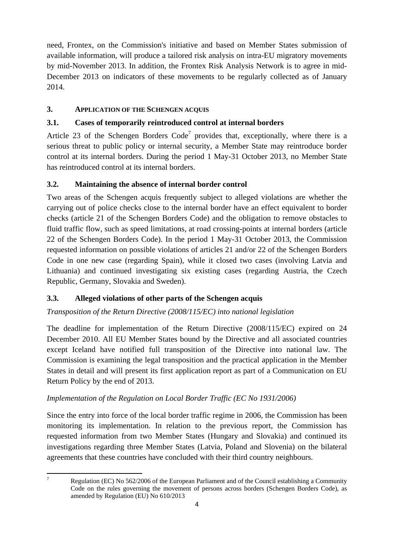need, Frontex, on the Commission's initiative and based on Member States submission of available information, will produce a tailored risk analysis on intra-EU migratory movements by mid-November 2013. In addition, the Frontex Risk Analysis Network is to agree in mid-December 2013 on indicators of these movements to be regularly collected as of January 2014.

## **3. APPLICATION OF THE SCHENGEN ACQUIS**

# **3.1. Cases of temporarily reintroduced control at internal borders**

Article 23 of the Schengen Borders  $Code<sup>7</sup>$  provides that, exceptionally, where there is a serious threat to public policy or internal security, a Member State may reintroduce border control at its internal borders. During the period 1 May-31 October 2013, no Member State has reintroduced control at its internal borders.

## **3.2. Maintaining the absence of internal border control**

Two areas of the Schengen acquis frequently subject to alleged violations are whether the carrying out of police checks close to the internal border have an effect equivalent to border checks (article 21 of the Schengen Borders Code) and the obligation to remove obstacles to fluid traffic flow, such as speed limitations, at road crossing-points at internal borders (article 22 of the Schengen Borders Code). In the period 1 May-31 October 2013, the Commission requested information on possible violations of articles 21 and/or 22 of the Schengen Borders Code in one new case (regarding Spain), while it closed two cases (involving Latvia and Lithuania) and continued investigating six existing cases (regarding Austria, the Czech Republic, Germany, Slovakia and Sweden).

## **3.3. Alleged violations of other parts of the Schengen acquis**

## *Transposition of the Return Directive (2008/115/EC) into national legislation*

The deadline for implementation of the Return Directive (2008/115/EC) expired on 24 December 2010. All EU Member States bound by the Directive and all associated countries except Iceland have notified full transposition of the Directive into national law. The Commission is examining the legal transposition and the practical application in the Member States in detail and will present its first application report as part of a Communication on EU Return Policy by the end of 2013.

## *Implementation of the Regulation on Local Border Traffic (EC No 1931/2006)*

Since the entry into force of the local border traffic regime in 2006, the Commission has been monitoring its implementation. In relation to the previous report, the Commission has requested information from two Member States (Hungary and Slovakia) and continued its investigations regarding three Member States (Latvia, Poland and Slovenia) on the bilateral agreements that these countries have concluded with their third country neighbours.

<sup>-&</sup>lt;br>7 Regulation (EC) No 562/2006 of the European Parliament and of the Council establishing a Community Code on the rules governing the movement of persons across borders (Schengen Borders Code), as amended by Regulation (EU) No 610/2013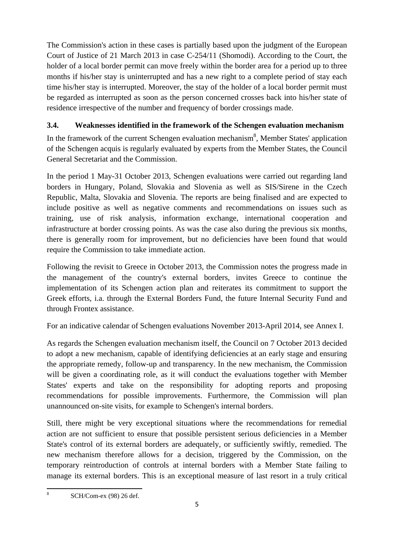The Commission's action in these cases is partially based upon the judgment of the European Court of Justice of 21 March 2013 in case C-254/11 (Shomodi). According to the Court, the holder of a local border permit can move freely within the border area for a period up to three months if his/her stay is uninterrupted and has a new right to a complete period of stay each time his/her stay is interrupted. Moreover, the stay of the holder of a local border permit must be regarded as interrupted as soon as the person concerned crosses back into his/her state of residence irrespective of the number and frequency of border crossings made.

# **3.4. Weaknesses identified in the framework of the Schengen evaluation mechanism**

In the framework of the current Schengen evaluation mechanism<sup>8</sup>, Member States' application of the Schengen acquis is regularly evaluated by experts from the Member States, the Council General Secretariat and the Commission.

In the period 1 May-31 October 2013, Schengen evaluations were carried out regarding land borders in Hungary, Poland, Slovakia and Slovenia as well as SIS/Sirene in the Czech Republic, Malta, Slovakia and Slovenia. The reports are being finalised and are expected to include positive as well as negative comments and recommendations on issues such as training, use of risk analysis, information exchange, international cooperation and infrastructure at border crossing points. As was the case also during the previous six months, there is generally room for improvement, but no deficiencies have been found that would require the Commission to take immediate action.

Following the revisit to Greece in October 2013, the Commission notes the progress made in the management of the country's external borders, invites Greece to continue the implementation of its Schengen action plan and reiterates its commitment to support the Greek efforts, i.a. through the External Borders Fund, the future Internal Security Fund and through Frontex assistance.

For an indicative calendar of Schengen evaluations November 2013-April 2014, see Annex I.

As regards the Schengen evaluation mechanism itself, the Council on 7 October 2013 decided to adopt a new mechanism, capable of identifying deficiencies at an early stage and ensuring the appropriate remedy, follow-up and transparency. In the new mechanism, the Commission will be given a coordinating role, as it will conduct the evaluations together with Member States' experts and take on the responsibility for adopting reports and proposing recommendations for possible improvements. Furthermore, the Commission will plan unannounced on-site visits, for example to Schengen's internal borders.

Still, there might be very exceptional situations where the recommendations for remedial action are not sufficient to ensure that possible persistent serious deficiencies in a Member State's control of its external borders are adequately, or sufficiently swiftly, remedied. The new mechanism therefore allows for a decision, triggered by the Commission, on the temporary reintroduction of controls at internal borders with a Member State failing to manage its external borders. This is an exceptional measure of last resort in a truly critical

-<br>8 SCH/Com-ex (98) 26 def.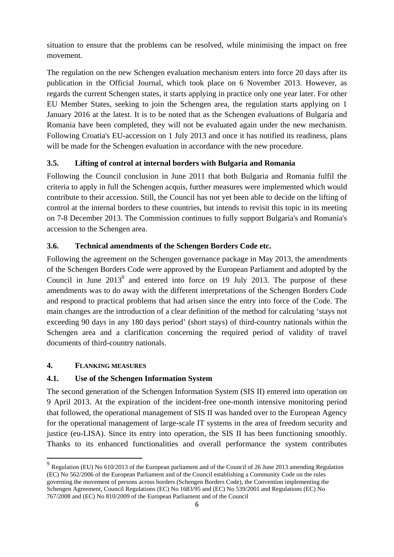situation to ensure that the problems can be resolved, while minimising the impact on free movement.

The regulation on the new Schengen evaluation mechanism enters into force 20 days after its publication in the Official Journal, which took place on 6 November 2013. However, as regards the current Schengen states, it starts applying in practice only one year later. For other EU Member States, seeking to join the Schengen area, the regulation starts applying on 1 January 2016 at the latest. It is to be noted that as the Schengen evaluations of Bulgaria and Romania have been completed, they will not be evaluated again under the new mechanism. Following Croatia's EU-accession on 1 July 2013 and once it has notified its readiness, plans will be made for the Schengen evaluation in accordance with the new procedure.

### **3.5. Lifting of control at internal borders with Bulgaria and Romania**

Following the Council conclusion in June 2011 that both Bulgaria and Romania fulfil the criteria to apply in full the Schengen acquis, further measures were implemented which would contribute to their accession. Still, the Council has not yet been able to decide on the lifting of control at the internal borders to these countries, but intends to revisit this topic in its meeting on 7-8 December 2013. The Commission continues to fully support Bulgaria's and Romania's accession to the Schengen area.

#### **3.6. Technical amendments of the Schengen Borders Code etc.**

Following the agreement on the Schengen governance package in May 2013, the amendments of the Schengen Borders Code were approved by the European Parliament and adopted by the Council in June  $2013^9$  and entered into force on 19 July 2013. The purpose of these amendments was to do away with the different interpretations of the Schengen Borders Code and respond to practical problems that had arisen since the entry into force of the Code. The main changes are the introduction of a clear definition of the method for calculating 'stays not exceeding 90 days in any 180 days period' (short stays) of third-country nationals within the Schengen area and a clarification concerning the required period of validity of travel documents of third-country nationals.

#### **4. FLANKING MEASURES**

**.** 

#### **4.1. Use of the Schengen Information System**

The second generation of the Schengen Information System (SIS II) entered into operation on 9 April 2013. At the expiration of the incident-free one-month intensive monitoring period that followed, the operational management of SIS II was handed over to the European Agency for the operational management of large-scale IT systems in the area of freedom security and justice (eu-LISA). Since its entry into operation, the SIS II has been functioning smoothly. Thanks to its enhanced functionalities and overall performance the system contributes

 $9 \text{ Regulation (EU)}$  No 610/2013 of the European parliament and of the Council of 26 June 2013 amending Regulation (EC) No 562/2006 of the European Parliament and of the Council establishing a Community Code on the rules governing the movement of persons across borders (Schengen Borders Code), the Convention implementing the Schengen Agreement, Council Regulations (EC) No 1683/95 and (EC) No 539/2001 and Regulations (EC) No 767/2008 and (EC) No 810/2009 of the European Parliament and of the Council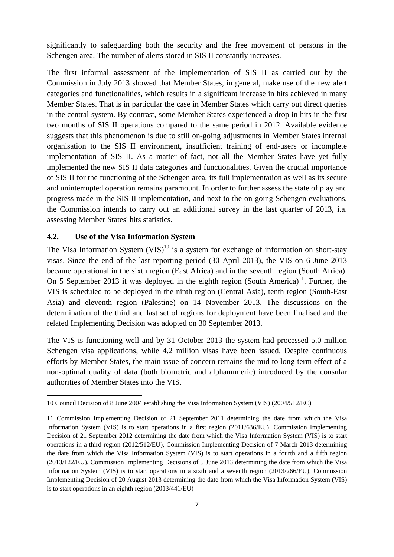significantly to safeguarding both the security and the free movement of persons in the Schengen area. The number of alerts stored in SIS II constantly increases.

The first informal assessment of the implementation of SIS II as carried out by the Commission in July 2013 showed that Member States, in general, make use of the new alert categories and functionalities, which results in a significant increase in hits achieved in many Member States. That is in particular the case in Member States which carry out direct queries in the central system. By contrast, some Member States experienced a drop in hits in the first two months of SIS II operations compared to the same period in 2012. Available evidence suggests that this phenomenon is due to still on-going adjustments in Member States internal organisation to the SIS II environment, insufficient training of end-users or incomplete implementation of SIS II. As a matter of fact, not all the Member States have yet fully implemented the new SIS II data categories and functionalities. Given the crucial importance of SIS II for the functioning of the Schengen area, its full implementation as well as its secure and uninterrupted operation remains paramount. In order to further assess the state of play and progress made in the SIS II implementation, and next to the on-going Schengen evaluations, the Commission intends to carry out an additional survey in the last quarter of 2013, i.a. assessing Member States' hits statistics.

#### **4.2. Use of the Visa Information System**

**.** 

The Visa Information System (VIS)<sup>10</sup> is a system for exchange of information on short-stay visas. Since the end of the last reporting period (30 April 2013), the VIS on 6 June 2013 became operational in the sixth region (East Africa) and in the seventh region (South Africa). On 5 September 2013 it was deployed in the eighth region (South America)<sup>11</sup>. Further, the VIS is scheduled to be deployed in the ninth region (Central Asia), tenth region (South-East Asia) and eleventh region (Palestine) on 14 November 2013. The discussions on the determination of the third and last set of regions for deployment have been finalised and the related Implementing Decision was adopted on 30 September 2013.

The VIS is functioning well and by 31 October 2013 the system had processed 5.0 million Schengen visa applications, while 4.2 million visas have been issued. Despite continuous efforts by Member States, the main issue of concern remains the mid to long-term effect of a non-optimal quality of data (both biometric and alphanumeric) introduced by the consular authorities of Member States into the VIS.

<sup>10</sup> Council Decision of 8 June 2004 establishing the Visa Information System (VIS) (2004/512/EC)

<sup>11</sup> Commission Implementing Decision of 21 September 2011 determining the date from which the Visa Information System (VIS) is to start operations in a first region (2011/636/EU), Commission Implementing Decision of 21 September 2012 determining the date from which the Visa Information System (VIS) is to start operations in a third region (2012/512/EU), Commission Implementing Decision of 7 March 2013 determining the date from which the Visa Information System (VIS) is to start operations in a fourth and a fifth region (2013/122/EU), Commission Implementing Decisions of 5 June 2013 determining the date from which the Visa Information System (VIS) is to start operations in a sixth and a seventh region (2013/266/EU), Commission Implementing Decision of 20 August 2013 determining the date from which the Visa Information System (VIS) is to start operations in an eighth region (2013/441/EU)